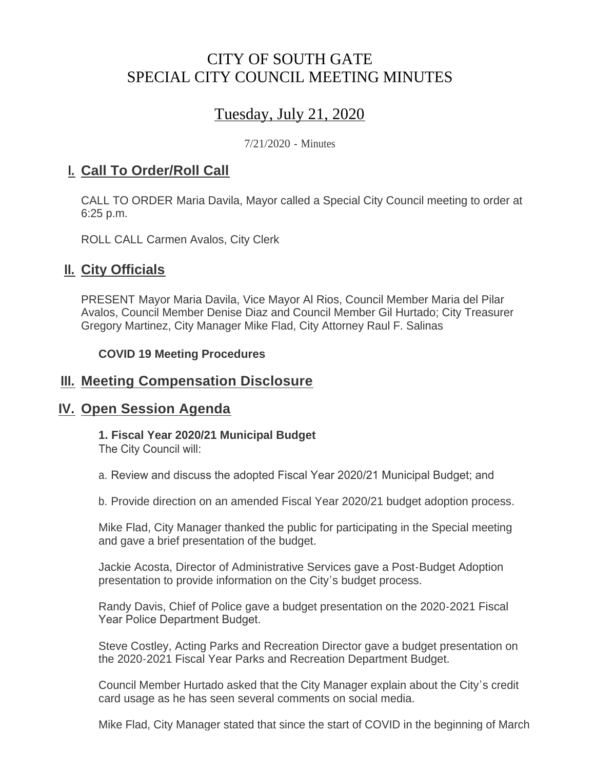# CITY OF SOUTH GATE SPECIAL CITY COUNCIL MEETING MINUTES

# Tuesday, July 21, 2020

7/21/2020 - Minutes

## <u>**I. Call To Order/Roll Call**</u>

CALL TO ORDER Maria Davila, Mayor called a Special City Council meeting to order at 6:25 p.m.

ROLL CALL Carmen Avalos, City Clerk

## **II.** City Officials

PRESENT Mayor Maria Davila, Vice Mayor Al Rios, Council Member Maria del Pilar Avalos, Council Member Denise Diaz and Council Member Gil Hurtado; City Treasurer Gregory Martinez, City Manager Mike Flad, City Attorney Raul F. Salinas

#### **COVID 19 Meeting Procedures**

## **Meeting Compensation Disclosure III.**

## **IV.** Open Session Agenda

**1. Fiscal Year 2020/21 Municipal Budget**

The City Council will:

a. Review and discuss the adopted Fiscal Year 2020/21 Municipal Budget; and

b. Provide direction on an amended Fiscal Year 2020/21 budget adoption process.

Mike Flad, City Manager thanked the public for participating in the Special meeting and gave a brief presentation of the budget.

Jackie Acosta, Director of Administrative Services gave a Post-Budget Adoption presentation to provide information on the City's budget process.

Randy Davis, Chief of Police gave a budget presentation on the 2020-2021 Fiscal Year Police Department Budget.

Steve Costley, Acting Parks and Recreation Director gave a budget presentation on the 2020-2021 Fiscal Year Parks and Recreation Department Budget.

Council Member Hurtado asked that the City Manager explain about the City's credit card usage as he has seen several comments on social media.

Mike Flad, City Manager stated that since the start of COVID in the beginning of March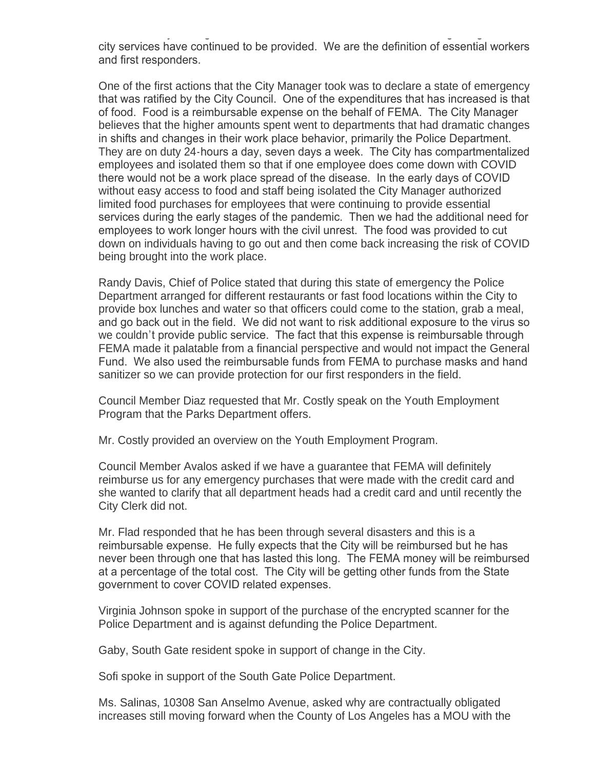Mike Flad, City Manager stated that since the start of COVID in the beginning of March city services have continued to be provided. We are the definition of essential workers and first responders.

One of the first actions that the City Manager took was to declare a state of emergency that was ratified by the City Council. One of the expenditures that has increased is that of food. Food is a reimbursable expense on the behalf of FEMA. The City Manager believes that the higher amounts spent went to departments that had dramatic changes in shifts and changes in their work place behavior, primarily the Police Department. They are on duty 24-hours a day, seven days a week. The City has compartmentalized employees and isolated them so that if one employee does come down with COVID there would not be a work place spread of the disease. In the early days of COVID without easy access to food and staff being isolated the City Manager authorized limited food purchases for employees that were continuing to provide essential services during the early stages of the pandemic. Then we had the additional need for employees to work longer hours with the civil unrest. The food was provided to cut down on individuals having to go out and then come back increasing the risk of COVID being brought into the work place.

Randy Davis, Chief of Police stated that during this state of emergency the Police Department arranged for different restaurants or fast food locations within the City to provide box lunches and water so that officers could come to the station, grab a meal, and go back out in the field. We did not want to risk additional exposure to the virus so we couldn't provide public service. The fact that this expense is reimbursable through FEMA made it palatable from a financial perspective and would not impact the General Fund. We also used the reimbursable funds from FEMA to purchase masks and hand sanitizer so we can provide protection for our first responders in the field.

Council Member Diaz requested that Mr. Costly speak on the Youth Employment Program that the Parks Department offers.

Mr. Costly provided an overview on the Youth Employment Program.

Council Member Avalos asked if we have a guarantee that FEMA will definitely reimburse us for any emergency purchases that were made with the credit card and she wanted to clarify that all department heads had a credit card and until recently the City Clerk did not.

Mr. Flad responded that he has been through several disasters and this is a reimbursable expense. He fully expects that the City will be reimbursed but he has never been through one that has lasted this long. The FEMA money will be reimbursed at a percentage of the total cost. The City will be getting other funds from the State government to cover COVID related expenses.

Virginia Johnson spoke in support of the purchase of the encrypted scanner for the Police Department and is against defunding the Police Department.

Gaby, South Gate resident spoke in support of change in the City.

Sofi spoke in support of the South Gate Police Department.

Ms. Salinas, 10308 San Anselmo Avenue, asked why are contractually obligated increases still moving forward when the County of Los Angeles has a MOU with the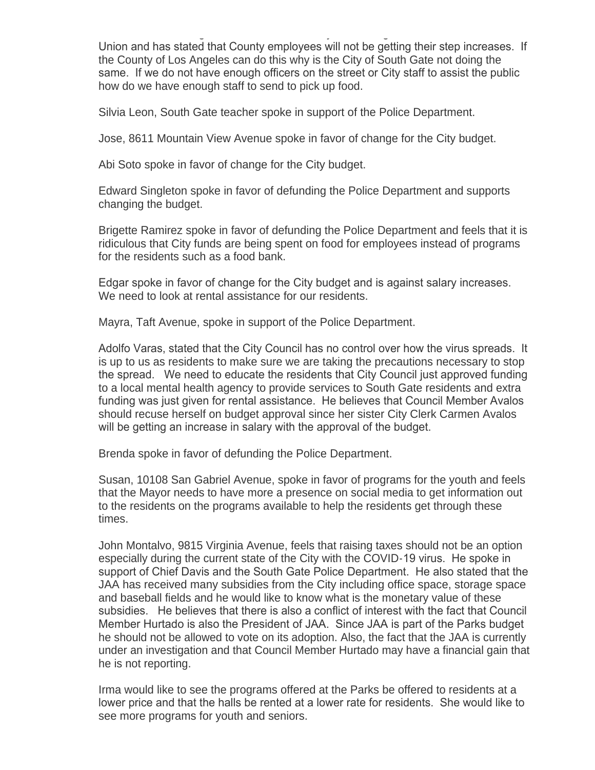increases still moving forward when the County of Los Angeles has a MOU with the Union and has stated that County employees will not be getting their step increases. If the County of Los Angeles can do this why is the City of South Gate not doing the same. If we do not have enough officers on the street or City staff to assist the public how do we have enough staff to send to pick up food.

Silvia Leon, South Gate teacher spoke in support of the Police Department.

Jose, 8611 Mountain View Avenue spoke in favor of change for the City budget.

Abi Soto spoke in favor of change for the City budget.

Edward Singleton spoke in favor of defunding the Police Department and supports changing the budget.

Brigette Ramirez spoke in favor of defunding the Police Department and feels that it is ridiculous that City funds are being spent on food for employees instead of programs for the residents such as a food bank.

Edgar spoke in favor of change for the City budget and is against salary increases. We need to look at rental assistance for our residents.

Mayra, Taft Avenue, spoke in support of the Police Department.

Adolfo Varas, stated that the City Council has no control over how the virus spreads. It is up to us as residents to make sure we are taking the precautions necessary to stop the spread. We need to educate the residents that City Council just approved funding to a local mental health agency to provide services to South Gate residents and extra funding was just given for rental assistance. He believes that Council Member Avalos should recuse herself on budget approval since her sister City Clerk Carmen Avalos will be getting an increase in salary with the approval of the budget.

Brenda spoke in favor of defunding the Police Department.

Susan, 10108 San Gabriel Avenue, spoke in favor of programs for the youth and feels that the Mayor needs to have more a presence on social media to get information out to the residents on the programs available to help the residents get through these times.

John Montalvo, 9815 Virginia Avenue, feels that raising taxes should not be an option especially during the current state of the City with the COVID-19 virus. He spoke in support of Chief Davis and the South Gate Police Department. He also stated that the JAA has received many subsidies from the City including office space, storage space and baseball fields and he would like to know what is the monetary value of these subsidies. He believes that there is also a conflict of interest with the fact that Council Member Hurtado is also the President of JAA. Since JAA is part of the Parks budget he should not be allowed to vote on its adoption. Also, the fact that the JAA is currently under an investigation and that Council Member Hurtado may have a financial gain that he is not reporting.

Irma would like to see the programs offered at the Parks be offered to residents at a lower price and that the halls be rented at a lower rate for residents. She would like to see more programs for youth and seniors.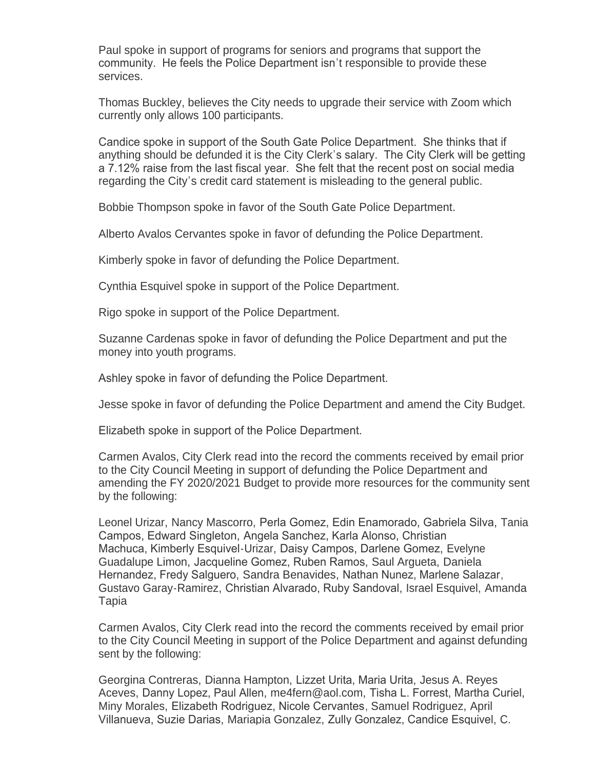Paul spoke in support of programs for seniors and programs that support the community. He feels the Police Department isn't responsible to provide these services.

Thomas Buckley, believes the City needs to upgrade their service with Zoom which currently only allows 100 participants.

Candice spoke in support of the South Gate Police Department. She thinks that if anything should be defunded it is the City Clerk's salary. The City Clerk will be getting a 7.12% raise from the last fiscal year. She felt that the recent post on social media regarding the City's credit card statement is misleading to the general public.

Bobbie Thompson spoke in favor of the South Gate Police Department.

Alberto Avalos Cervantes spoke in favor of defunding the Police Department.

Kimberly spoke in favor of defunding the Police Department.

Cynthia Esquivel spoke in support of the Police Department.

Rigo spoke in support of the Police Department.

Suzanne Cardenas spoke in favor of defunding the Police Department and put the money into youth programs.

Ashley spoke in favor of defunding the Police Department.

Jesse spoke in favor of defunding the Police Department and amend the City Budget.

Elizabeth spoke in support of the Police Department.

Carmen Avalos, City Clerk read into the record the comments received by email prior to the City Council Meeting in support of defunding the Police Department and amending the FY 2020/2021 Budget to provide more resources for the community sent by the following:

Leonel Urizar, Nancy Mascorro, Perla Gomez, Edin Enamorado, Gabriela Silva, Tania Campos, Edward Singleton, Angela Sanchez, Karla Alonso, Christian Machuca, Kimberly Esquivel-Urizar, Daisy Campos, Darlene Gomez, Evelyne Guadalupe Limon, Jacqueline Gomez, Ruben Ramos, Saul Argueta, Daniela Hernandez, Fredy Salguero, Sandra Benavides, Nathan Nunez, Marlene Salazar, Gustavo Garay-Ramirez, Christian Alvarado, Ruby Sandoval, Israel Esquivel, Amanda Tapia

Carmen Avalos, City Clerk read into the record the comments received by email prior to the City Council Meeting in support of the Police Department and against defunding sent by the following:

Georgina Contreras, Dianna Hampton, Lizzet Urita, Maria Urita, Jesus A. Reyes Aceves, Danny Lopez, Paul Allen, me4fern@aol.com, Tisha L. Forrest, Martha Curiel, Miny Morales, Elizabeth Rodriguez, Nicole Cervantes, Samuel Rodriguez, April Villanueva, Suzie Darias, Mariapia Gonzalez, Zully Gonzalez, Candice Esquivel, C.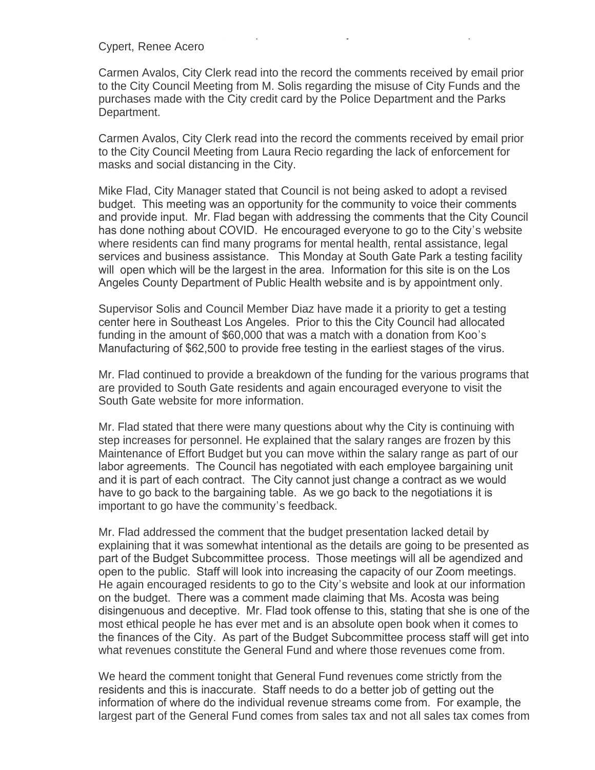#### Cypert, Renee Acero

Carmen Avalos, City Clerk read into the record the comments received by email prior to the City Council Meeting from M. Solis regarding the misuse of City Funds and the purchases made with the City credit card by the Police Department and the Parks Department.

Villanueva, Suzie Darias, Mariapia Gonzalez, Zully Gonzalez, Candice Esquivel, C.

Carmen Avalos, City Clerk read into the record the comments received by email prior to the City Council Meeting from Laura Recio regarding the lack of enforcement for masks and social distancing in the City.

Mike Flad, City Manager stated that Council is not being asked to adopt a revised budget. This meeting was an opportunity for the community to voice their comments and provide input. Mr. Flad began with addressing the comments that the City Council has done nothing about COVID. He encouraged everyone to go to the City's website where residents can find many programs for mental health, rental assistance, legal services and business assistance. This Monday at South Gate Park a testing facility will open which will be the largest in the area. Information for this site is on the Los Angeles County Department of Public Health website and is by appointment only.

Supervisor Solis and Council Member Diaz have made it a priority to get a testing center here in Southeast Los Angeles. Prior to this the City Council had allocated funding in the amount of \$60,000 that was a match with a donation from Koo's Manufacturing of \$62,500 to provide free testing in the earliest stages of the virus.

Mr. Flad continued to provide a breakdown of the funding for the various programs that are provided to South Gate residents and again encouraged everyone to visit the South Gate website for more information.

Mr. Flad stated that there were many questions about why the City is continuing with step increases for personnel. He explained that the salary ranges are frozen by this Maintenance of Effort Budget but you can move within the salary range as part of our labor agreements. The Council has negotiated with each employee bargaining unit and it is part of each contract. The City cannot just change a contract as we would have to go back to the bargaining table. As we go back to the negotiations it is important to go have the community's feedback.

Mr. Flad addressed the comment that the budget presentation lacked detail by explaining that it was somewhat intentional as the details are going to be presented as part of the Budget Subcommittee process. Those meetings will all be agendized and open to the public. Staff will look into increasing the capacity of our Zoom meetings. He again encouraged residents to go to the City's website and look at our information on the budget. There was a comment made claiming that Ms. Acosta was being disingenuous and deceptive. Mr. Flad took offense to this, stating that she is one of the most ethical people he has ever met and is an absolute open book when it comes to the finances of the City. As part of the Budget Subcommittee process staff will get into what revenues constitute the General Fund and where those revenues come from.

We heard the comment tonight that General Fund revenues come strictly from the residents and this is inaccurate. Staff needs to do a better job of getting out the information of where do the individual revenue streams come from. For example, the largest part of the General Fund comes from sales tax and not all sales tax comes from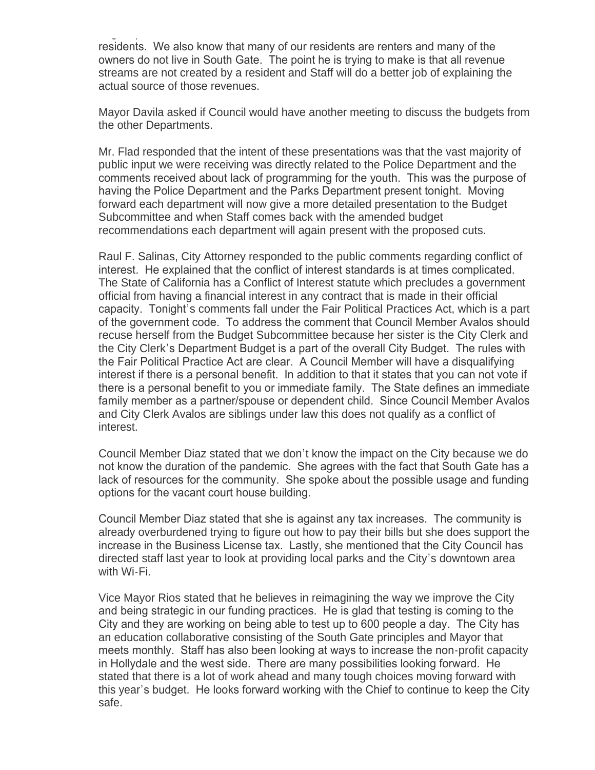largest part of the General Fund comes from sales tax and not all sales tax comes from residents. We also know that many of our residents are renters and many of the owners do not live in South Gate. The point he is trying to make is that all revenue streams are not created by a resident and Staff will do a better job of explaining the actual source of those revenues.

Mayor Davila asked if Council would have another meeting to discuss the budgets from the other Departments.

Mr. Flad responded that the intent of these presentations was that the vast majority of public input we were receiving was directly related to the Police Department and the comments received about lack of programming for the youth. This was the purpose of having the Police Department and the Parks Department present tonight. Moving forward each department will now give a more detailed presentation to the Budget Subcommittee and when Staff comes back with the amended budget recommendations each department will again present with the proposed cuts.

Raul F. Salinas, City Attorney responded to the public comments regarding conflict of interest. He explained that the conflict of interest standards is at times complicated. The State of California has a Conflict of Interest statute which precludes a government official from having a financial interest in any contract that is made in their official capacity. Tonight's comments fall under the Fair Political Practices Act, which is a part of the government code. To address the comment that Council Member Avalos should recuse herself from the Budget Subcommittee because her sister is the City Clerk and the City Clerk's Department Budget is a part of the overall City Budget. The rules with the Fair Political Practice Act are clear. A Council Member will have a disqualifying interest if there is a personal benefit. In addition to that it states that you can not vote if there is a personal benefit to you or immediate family. The State defines an immediate family member as a partner/spouse or dependent child. Since Council Member Avalos and City Clerk Avalos are siblings under law this does not qualify as a conflict of interest.

Council Member Diaz stated that we don't know the impact on the City because we do not know the duration of the pandemic. She agrees with the fact that South Gate has a lack of resources for the community. She spoke about the possible usage and funding options for the vacant court house building.

Council Member Diaz stated that she is against any tax increases. The community is already overburdened trying to figure out how to pay their bills but she does support the increase in the Business License tax. Lastly, she mentioned that the City Council has directed staff last year to look at providing local parks and the City's downtown area with Wi-Fi.

Vice Mayor Rios stated that he believes in reimagining the way we improve the City and being strategic in our funding practices. He is glad that testing is coming to the City and they are working on being able to test up to 600 people a day. The City has an education collaborative consisting of the South Gate principles and Mayor that meets monthly. Staff has also been looking at ways to increase the non-profit capacity in Hollydale and the west side. There are many possibilities looking forward. He stated that there is a lot of work ahead and many tough choices moving forward with this year's budget. He looks forward working with the Chief to continue to keep the City safe.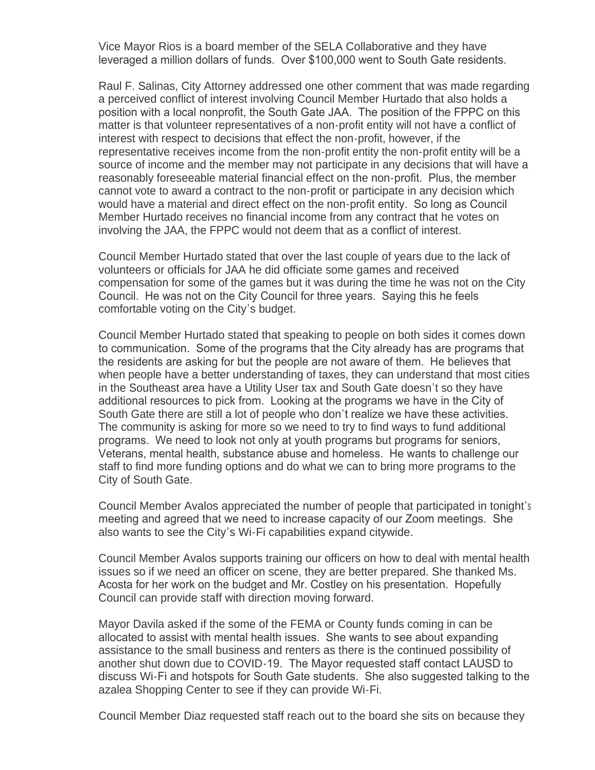Vice Mayor Rios is a board member of the SELA Collaborative and they have leveraged a million dollars of funds. Over \$100,000 went to South Gate residents.

Raul F. Salinas, City Attorney addressed one other comment that was made regarding a perceived conflict of interest involving Council Member Hurtado that also holds a position with a local nonprofit, the South Gate JAA. The position of the FPPC on this matter is that volunteer representatives of a non-profit entity will not have a conflict of interest with respect to decisions that effect the non-profit, however, if the representative receives income from the non-profit entity the non-profit entity will be a source of income and the member may not participate in any decisions that will have a reasonably foreseeable material financial effect on the non-profit. Plus, the member cannot vote to award a contract to the non-profit or participate in any decision which would have a material and direct effect on the non-profit entity. So long as Council Member Hurtado receives no financial income from any contract that he votes on involving the JAA, the FPPC would not deem that as a conflict of interest.

Council Member Hurtado stated that over the last couple of years due to the lack of volunteers or officials for JAA he did officiate some games and received compensation for some of the games but it was during the time he was not on the City Council. He was not on the City Council for three years. Saying this he feels comfortable voting on the City's budget.

Council Member Hurtado stated that speaking to people on both sides it comes down to communication. Some of the programs that the City already has are programs that the residents are asking for but the people are not aware of them. He believes that when people have a better understanding of taxes, they can understand that most cities in the Southeast area have a Utility User tax and South Gate doesn't so they have additional resources to pick from. Looking at the programs we have in the City of South Gate there are still a lot of people who don't realize we have these activities. The community is asking for more so we need to try to find ways to fund additional programs. We need to look not only at youth programs but programs for seniors, Veterans, mental health, substance abuse and homeless. He wants to challenge our staff to find more funding options and do what we can to bring more programs to the City of South Gate.

Council Member Avalos appreciated the number of people that participated in tonight'<sup>s</sup> meeting and agreed that we need to increase capacity of our Zoom meetings. She also wants to see the City's Wi-Fi capabilities expand citywide.

Council Member Avalos supports training our officers on how to deal with mental health issues so if we need an officer on scene, they are better prepared. She thanked Ms. Acosta for her work on the budget and Mr. Costley on his presentation. Hopefully Council can provide staff with direction moving forward.

Mayor Davila asked if the some of the FEMA or County funds coming in can be allocated to assist with mental health issues. She wants to see about expanding assistance to the small business and renters as there is the continued possibility of another shut down due to COVID-19. The Mayor requested staff contact LAUSD to discuss Wi-Fi and hotspots for South Gate students. She also suggested talking to the azalea Shopping Center to see if they can provide Wi-Fi.

Council Member Diaz requested staff reach out to the board she sits on because they